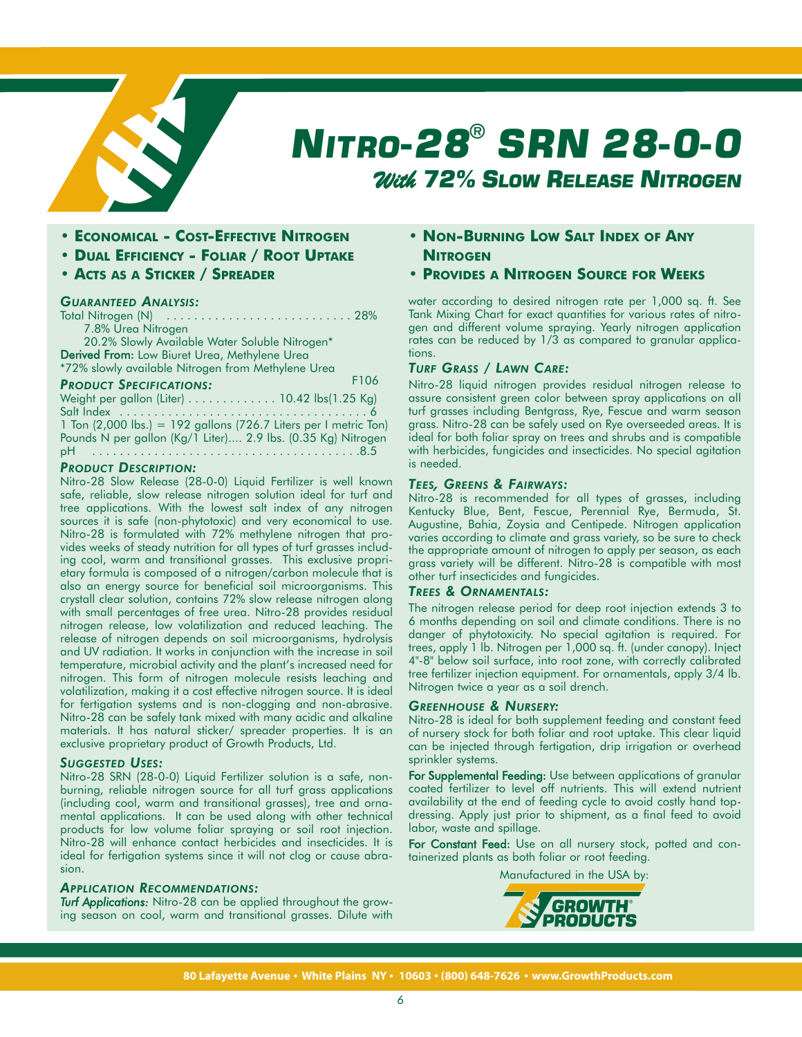

# *NITRO-28® SRN 28-0-0 With 72% SLOW RELEASE NITROGEN*

- **ECONOMICAL COST-EFFECTIVE NITROGEN**
- **DUAL EFFICIENCY FOLIAR / ROOT UPTAKE**
- **ACTS AS A STICKER / SPREADER**

# *GUARANTEED ANALYSIS:*

Total Nitrogen (N) . . . . . . . . . . . . . . . . . . . . . . . . . . . 28% 7.8% Urea Nitrogen 20.2% Slowly Available Water Soluble Nitrogen\* Derived From: Low Biuret Urea, Methylene Urea \*72% slowly available Nitrogen from Methylene Urea *PRODUCT SPECIFICATIONS:* Weight per gallon (Liter) . . . . . . . . . . . . . 10.42 lbs(1.25 Kg) Salt Index . . . . . . . . . . . . . . . . . . . . . . . . . . . . . . . . . . . . 6 F106

1 Ton (2,000 lbs.) = 192 gallons (726.7 Liters per I metric Ton) Pounds N per gallon (Kg/1 Liter).... 2.9 lbs. (0.35 Kg) Nitrogen pH . . . . . . . . . . . . . . . . . . . . . . . . . . . . . . . . . . . . . . .8.5

# *PRODUCT DESCRIPTION:*

Nitro-28 Slow Release (28-0-0) Liquid Fertilizer is well known safe, reliable, slow release nitrogen solution ideal for turf and tree applications. With the lowest salt index of any nitrogen sources it is safe (non-phytotoxic) and very economical to use. Nitro-28 is formulated with 72% methylene nitrogen that provides weeks of steady nutrition for all types of turf grasses including cool, warm and transitional grasses. This exclusive proprietary formula is composed of a nitrogen/carbon molecule that is also an energy source for beneficial soil microorganisms. This crystall clear solution, contains 72% slow release nitrogen along with small percentages of free urea. Nitro-28 provides residual nitrogen release, low volatilization and reduced leaching. The release of nitrogen depends on soil microorganisms, hydrolysis and UV radiation. It works in conjunction with the increase in soil temperature, microbial activity and the plant's increased need for nitrogen. This form of nitrogen molecule resists leaching and volatilization, making it a cost effective nitrogen source. It is ideal for fertigation systems and is non-clogging and non-abrasive. Nitro-28 can be safely tank mixed with many acidic and alkaline materials. It has natural sticker/ spreader properties. It is an exclusive proprietary product of Growth Products, Ltd.

#### *SUGGESTED USES:*

Nitro-28 SRN (28-0-0) Liquid Fertilizer solution is a safe, nonburning, reliable nitrogen source for all turf grass applications (including cool, warm and transitional grasses), tree and ornamental applications. It can be used along with other technical products for low volume foliar spraying or soil root injection. Nitro-28 will enhance contact herbicides and insecticides. It is ideal for fertigation systems since it will not clog or cause abrasion.

# *APPLICATION RECOMMENDATIONS:*

*Turf Applications:* Nitro-28 can be applied throughout the growing season on cool, warm and transitional grasses. Dilute with

- **NON-BURNING LOW SALT INDEX OF ANY NITROGEN**
- **PROVIDES A NITROGEN SOURCE FOR WEEKS**

water according to desired nitrogen rate per 1,000 sq. ft. See Tank Mixing Chart for exact quantities for various rates of nitrogen and different volume spraying. Yearly nitrogen application rates can be reduced by 1/3 as compared to granular applications.

## *TURF GRASS / LAWN CARE:*

Nitro-28 liquid nitrogen provides residual nitrogen release to assure consistent green color between spray applications on all turf grasses including Bentgrass, Rye, Fescue and warm season grass. Nitro-28 can be safely used on Rye overseeded areas. It is ideal for both foliar spray on trees and shrubs and is compatible with herbicides, fungicides and insecticides. No special agitation is needed.

#### *TEES, GREENS & FAIRWAYS:*

Nitro-28 is recommended for all types of grasses, including Kentucky Blue, Bent, Fescue, Perennial Rye, Bermuda, St. Augustine, Bahia, Zoysia and Centipede. Nitrogen application varies according to climate and grass variety, so be sure to check the appropriate amount of nitrogen to apply per season, as each grass variety will be different. Nitro-28 is compatible with most other turf insecticides and fungicides.

# *TREES & ORNAMENTALS:*

The nitrogen release period for deep root injection extends 3 to 6 months depending on soil and climate conditions. There is no danger of phytotoxicity. No special agitation is required. For trees, apply 1 lb. Nitrogen per 1,000 sq. ft. (under canopy). Inject 4"-8" below soil surface, into root zone, with correctly calibrated tree fertilizer injection equipment. For ornamentals, apply 3/4 lb. Nitrogen twice a year as a soil drench.

## *GREENHOUSE & NURSERY:*

Nitro-28 is ideal for both supplement feeding and constant feed of nursery stock for both foliar and root uptake. This clear liquid can be injected through fertigation, drip irrigation or overhead sprinkler systems.

For Supplemental Feeding: Use between applications of granular coated fertilizer to level off nutrients. This will extend nutrient availability at the end of feeding cycle to avoid costly hand topdressing. Apply just prior to shipment, as a final feed to avoid labor, waste and spillage.

For Constant Feed: Use on all nursery stock, potted and containerized plants as both foliar or root feeding.

Manufactured in the USA by: